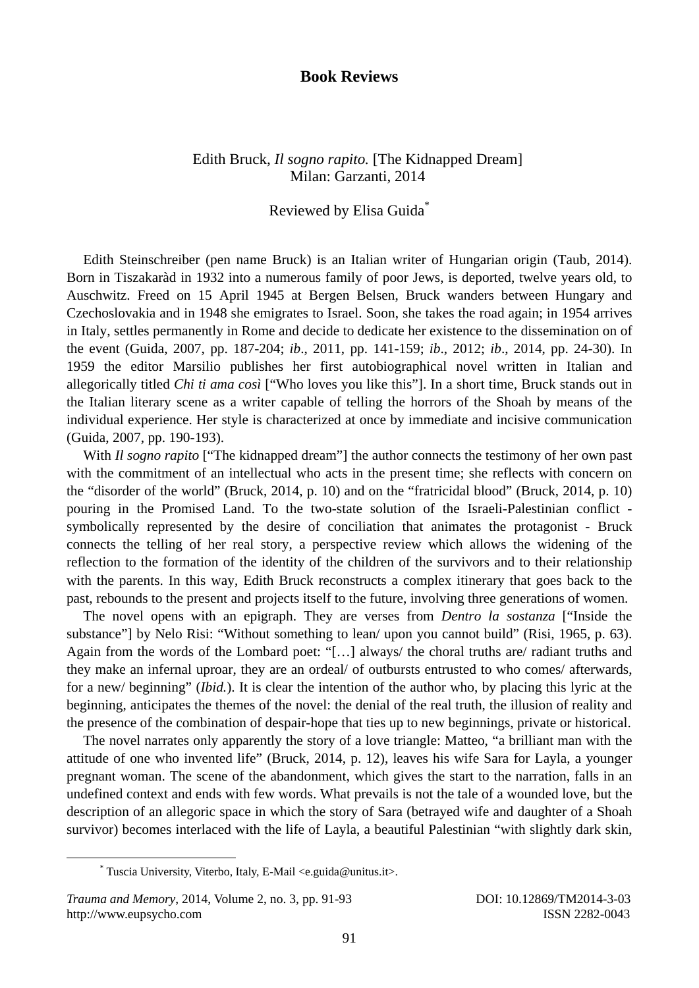## **Book Reviews**

## Edith Bruck, *Il sogno rapito.* [The Kidnapped Dream] Milan: Garzanti, 2014

## Reviewed by Elisa Guida\*

Edith Steinschreiber (pen name Bruck) is an Italian writer of Hungarian origin (Taub, 2014). Born in Tiszakaràd in 1932 into a numerous family of poor Jews, is deported, twelve years old, to Auschwitz. Freed on 15 April 1945 at Bergen Belsen, Bruck wanders between Hungary and Czechoslovakia and in 1948 she emigrates to Israel. Soon, she takes the road again; in 1954 arrives in Italy, settles permanently in Rome and decide to dedicate her existence to the dissemination on of the event (Guida, 2007, pp. 187-204; *ib*., 2011, pp. 141-159; *ib*., 2012; *ib*., 2014, pp. 24-30). In 1959 the editor Marsilio publishes her first autobiographical novel written in Italian and allegorically titled *Chi ti ama così* ["Who loves you like this"]. In a short time, Bruck stands out in the Italian literary scene as a writer capable of telling the horrors of the Shoah by means of the individual experience. Her style is characterized at once by immediate and incisive communication (Guida, 2007, pp. 190-193).

With *Il sogno rapito* ["The kidnapped dream"] the author connects the testimony of her own past with the commitment of an intellectual who acts in the present time; she reflects with concern on the "disorder of the world" (Bruck, 2014, p. 10) and on the "fratricidal blood" (Bruck, 2014, p. 10) pouring in the Promised Land. To the two-state solution of the Israeli-Palestinian conflict symbolically represented by the desire of conciliation that animates the protagonist - Bruck connects the telling of her real story, a perspective review which allows the widening of the reflection to the formation of the identity of the children of the survivors and to their relationship with the parents. In this way, Edith Bruck reconstructs a complex itinerary that goes back to the past, rebounds to the present and projects itself to the future, involving three generations of women.

The novel opens with an epigraph. They are verses from *Dentro la sostanza* ["Inside the substance"] by Nelo Risi: "Without something to lean/ upon you cannot build" (Risi, 1965, p. 63). Again from the words of the Lombard poet: "[…] always/ the choral truths are/ radiant truths and they make an infernal uproar, they are an ordeal/ of outbursts entrusted to who comes/ afterwards, for a new/ beginning" (*Ibid.*). It is clear the intention of the author who, by placing this lyric at the beginning, anticipates the themes of the novel: the denial of the real truth, the illusion of reality and the presence of the combination of despair-hope that ties up to new beginnings, private or historical.

The novel narrates only apparently the story of a love triangle: Matteo, "a brilliant man with the attitude of one who invented life" (Bruck, 2014, p. 12), leaves his wife Sara for Layla, a younger pregnant woman. The scene of the abandonment, which gives the start to the narration, falls in an undefined context and ends with few words. What prevails is not the tale of a wounded love, but the description of an allegoric space in which the story of Sara (betrayed wife and daughter of a Shoah survivor) becomes interlaced with the life of Layla, a beautiful Palestinian "with slightly dark skin,

 <sup>\*</sup> Tuscia University, Viterbo, Italy, E-Mail <e.guida@unitus.it>.

*Trauma and Memory*, 2014, Volume 2, no. 3, pp. 91-93 DOI: 10.12869/TM2014-3-03 http://www.eupsycho.com ISSN 2282-0043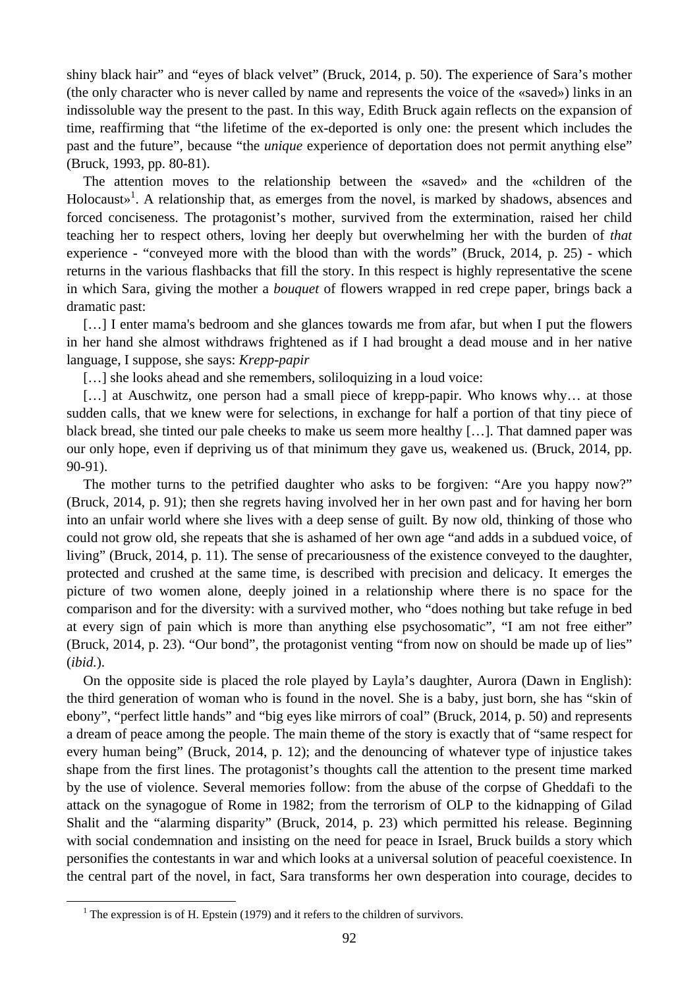shiny black hair" and "eyes of black velvet" (Bruck, 2014, p. 50). The experience of Sara's mother (the only character who is never called by name and represents the voice of the «saved») links in an indissoluble way the present to the past. In this way, Edith Bruck again reflects on the expansion of time, reaffirming that "the lifetime of the ex-deported is only one: the present which includes the past and the future", because "the *unique* experience of deportation does not permit anything else" (Bruck, 1993, pp. 80-81).

The attention moves to the relationship between the «saved» and the «children of the Holocaust»<sup>1</sup>. A relationship that, as emerges from the novel, is marked by shadows, absences and forced conciseness. The protagonist's mother, survived from the extermination, raised her child teaching her to respect others, loving her deeply but overwhelming her with the burden of *that*  experience - "conveyed more with the blood than with the words" (Bruck, 2014, p. 25) - which returns in the various flashbacks that fill the story. In this respect is highly representative the scene in which Sara, giving the mother a *bouquet* of flowers wrapped in red crepe paper, brings back a dramatic past:

[...] I enter mama's bedroom and she glances towards me from afar, but when I put the flowers in her hand she almost withdraws frightened as if I had brought a dead mouse and in her native language, I suppose, she says: *Krepp-papir*

[...] she looks ahead and she remembers, soliloquizing in a loud voice:

[...] at Auschwitz, one person had a small piece of krepp-papir. Who knows why... at those sudden calls, that we knew were for selections, in exchange for half a portion of that tiny piece of black bread, she tinted our pale cheeks to make us seem more healthy […]. That damned paper was our only hope, even if depriving us of that minimum they gave us, weakened us. (Bruck, 2014, pp. 90-91).

The mother turns to the petrified daughter who asks to be forgiven: "Are you happy now?" (Bruck, 2014, p. 91); then she regrets having involved her in her own past and for having her born into an unfair world where she lives with a deep sense of guilt. By now old, thinking of those who could not grow old, she repeats that she is ashamed of her own age "and adds in a subdued voice, of living" (Bruck, 2014, p. 11). The sense of precariousness of the existence conveyed to the daughter, protected and crushed at the same time, is described with precision and delicacy. It emerges the picture of two women alone, deeply joined in a relationship where there is no space for the comparison and for the diversity: with a survived mother, who "does nothing but take refuge in bed at every sign of pain which is more than anything else psychosomatic", "I am not free either" (Bruck, 2014, p. 23). "Our bond", the protagonist venting "from now on should be made up of lies" (*ibid.*).

On the opposite side is placed the role played by Layla's daughter, Aurora (Dawn in English): the third generation of woman who is found in the novel. She is a baby, just born, she has "skin of ebony", "perfect little hands" and "big eyes like mirrors of coal" (Bruck, 2014, p. 50) and represents a dream of peace among the people. The main theme of the story is exactly that of "same respect for every human being" (Bruck, 2014, p. 12); and the denouncing of whatever type of injustice takes shape from the first lines. The protagonist's thoughts call the attention to the present time marked by the use of violence. Several memories follow: from the abuse of the corpse of Gheddafi to the attack on the synagogue of Rome in 1982; from the terrorism of OLP to the kidnapping of Gilad Shalit and the "alarming disparity" (Bruck, 2014, p. 23) which permitted his release. Beginning with social condemnation and insisting on the need for peace in Israel, Bruck builds a story which personifies the contestants in war and which looks at a universal solution of peaceful coexistence. In the central part of the novel, in fact, Sara transforms her own desperation into courage, decides to

 $\overline{\phantom{0}1}$  $1$  The expression is of H. Epstein (1979) and it refers to the children of survivors.